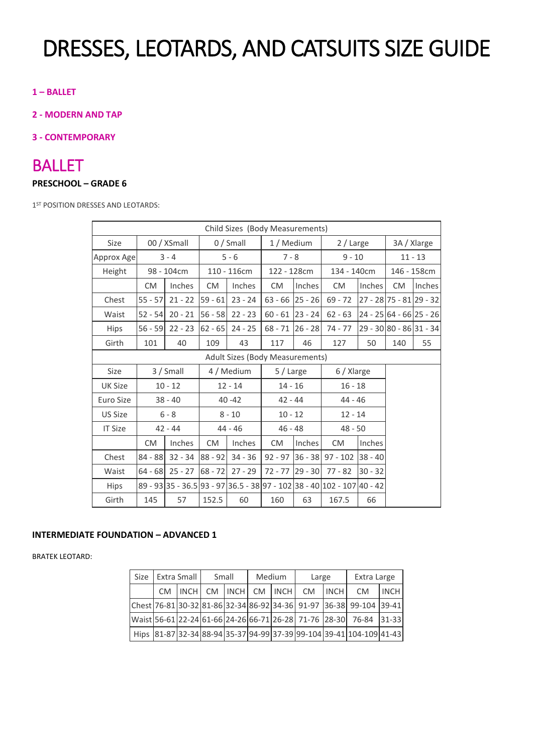# DRESSES, LEOTARDS, AND CATSUITS SIZE GUIDE

### **1 – BALLET**

**2 - MODERN AND TAP**

#### **3 - CONTEMPORARY**

### BALLET

#### **PRESCHOOL – GRADE 6**

1<sup>ST</sup> POSITION DRESSES AND LEOTARDS:

|                | Child Sizes (Body Measurements) |             |           |             |                   |           |                                                                        |               |                           |             |  |  |  |
|----------------|---------------------------------|-------------|-----------|-------------|-------------------|-----------|------------------------------------------------------------------------|---------------|---------------------------|-------------|--|--|--|
| Size           |                                 | 00 / XSmall |           | $0/$ Small  | 1 / Medium        |           | 2 / Large                                                              |               |                           | 3A / Xlarge |  |  |  |
| Approx Age     |                                 | $3 - 4$     |           | $5 - 6$     | $7 - 8$           |           | $9 - 10$                                                               |               | $11 - 13$                 |             |  |  |  |
| Height         |                                 | 98 - 104cm  |           | 110 - 116cm | 122 - 128cm       |           | 134 - 140cm                                                            |               |                           | 146 - 158cm |  |  |  |
|                | <b>CM</b>                       | Inches      | CM.       | Inches      |                   | Inches    | CM                                                                     | <b>Inches</b> | <b>CM</b>                 | Inches      |  |  |  |
| Chest          | $55 - 57$                       | $21 - 22$   | $59 - 61$ | $23 - 24$   | $63 - 66$ 25 - 26 |           | $69 - 72$                                                              |               | $27 - 28$ 75 - 81 29 - 32 |             |  |  |  |
| Waist          | $52 - 54$                       | $20 - 21$   | $56 - 58$ | $22 - 23$   | $60 - 61$ 23 - 24 |           | $62 - 63$                                                              |               | $24 - 25$ 64 - 66 25 - 26 |             |  |  |  |
| <b>Hips</b>    | $56 - 59$                       | $22 - 23$   | $62 - 65$ | $24 - 25$   | $68 - 71$         | $26 - 28$ | $74 - 77$                                                              |               | 29 - 30 80 - 86 31 - 34   |             |  |  |  |
| Girth          | 101                             | 40          | 109       | 43          | 117               | 46        | 127                                                                    | 50            | 140                       | 55          |  |  |  |
|                | Adult Sizes (Body Measurements) |             |           |             |                   |           |                                                                        |               |                           |             |  |  |  |
| Size           |                                 | 3 / Small   |           | 4 / Medium  | 5 / Large         |           | 6 / Xlarge                                                             |               |                           |             |  |  |  |
| UK Size        |                                 | $10 - 12$   |           | $12 - 14$   | $14 - 16$         |           | $16 - 18$                                                              |               |                           |             |  |  |  |
| Euro Size      |                                 | $38 - 40$   |           | $40 - 42$   |                   | $42 - 44$ |                                                                        | $44 - 46$     |                           |             |  |  |  |
| <b>US Size</b> |                                 | $6 - 8$     |           | $8 - 10$    | $10 - 12$         |           | $12 - 14$                                                              |               |                           |             |  |  |  |
| <b>IT Size</b> |                                 | $42 - 44$   |           | $44 - 46$   | $46 - 48$         |           | $48 - 50$                                                              |               |                           |             |  |  |  |
|                | <b>CM</b>                       | Inches      | <b>CM</b> | Inches      | <b>CM</b>         | Inches    | CM.                                                                    | Inches        |                           |             |  |  |  |
| Chest          | $84 - 88$                       | $32 - 34$   | $88 - 92$ | $34 - 36$   | $92 - 97$ 36 - 38 |           | $97 - 102$ 38 - 40                                                     |               |                           |             |  |  |  |
| Waist          | $64 - 68$                       | $25 - 27$   | $68 - 72$ | $27 - 29$   | $72 - 77$         | $29 - 30$ | $77 - 82$                                                              | $30 - 32$     |                           |             |  |  |  |
| Hips           |                                 |             |           |             |                   |           | 89 - 93 35 - 36.5 93 - 97 36.5 - 38 97 - 102 38 - 40 102 - 107 40 - 42 |               |                           |             |  |  |  |
| Girth          | 145                             | 57          | 152.5     | 60          | 160               | 63        | 167.5                                                                  | 66            |                           |             |  |  |  |

### **INTERMEDIATE FOUNDATION - ADVANCED 1**

BRATEK LEOTARD:

|  | Size   Extra Small |  | Small | Medium          |  | Large     |             | Extra Large                                                         |             |
|--|--------------------|--|-------|-----------------|--|-----------|-------------|---------------------------------------------------------------------|-------------|
|  | CM INCH            |  |       | CM INCH CM INCH |  | <b>CM</b> | <b>INCH</b> | C <sub>M</sub>                                                      | <b>INCH</b> |
|  |                    |  |       |                 |  |           |             | Chest 76-81 30-32 81-86 32-34 86-92 34-36 91-97 36-38 99-104 39-41  |             |
|  |                    |  |       |                 |  |           |             | Waist 56-61 22-24 61-66 24-26 66-71 26-28 71-76 28-30 76-84 31-33   |             |
|  |                    |  |       |                 |  |           |             | Hips 81-87 32-34 88-94 35-37 94-99 37-39 99-104 39-41 104-109 41-43 |             |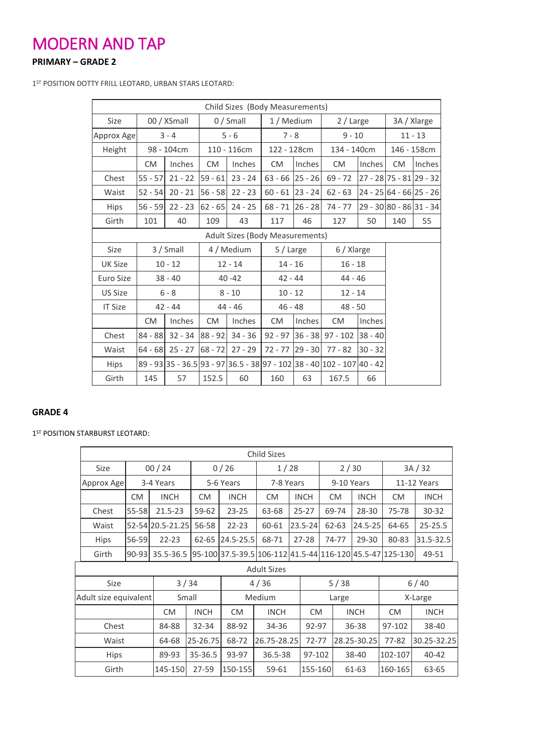### MODERN AND TAP

### **PRIMARY – GRADE 2**

1 ST POSITION DOTTY FRILL LEOTARD, URBAN STARS LEOTARD:

|                | Child Sizes (Body Measurements) |               |             |               |                   |             |                                                                        |                         |           |                         |  |  |  |
|----------------|---------------------------------|---------------|-------------|---------------|-------------------|-------------|------------------------------------------------------------------------|-------------------------|-----------|-------------------------|--|--|--|
| Size           |                                 | 00 / XSmall   |             | $0/$ Small    | 1 / Medium        |             | 2 / Large                                                              |                         |           | 3A / Xlarge             |  |  |  |
| Approx Age     |                                 | $3 - 4$       |             | $5 - 6$       | $7 - 8$           |             | $9 - 10$                                                               |                         |           | $11 - 13$               |  |  |  |
| Height         |                                 | 98 - 104cm    | 110 - 116cm |               | 122 - 128cm       |             | 134 - 140cm                                                            |                         |           | 146 - 158cm             |  |  |  |
|                | <b>CM</b>                       | <b>Inches</b> | <b>CM</b>   | <b>Inches</b> | CM.               | Inches      | <b>CM</b>                                                              | <b>Inches</b>           | <b>CM</b> | <b>Inches</b>           |  |  |  |
| Chest          | $55 - 57$                       | $21 - 22$     | $59 - 61$   | $23 - 24$     | $63 - 66$ 25 - 26 |             | $69 - 72$                                                              | 27 - 28 75 - 81 29 - 32 |           |                         |  |  |  |
| Waist          | $52 - 54$                       | $20 - 21$     | $56 - 58$   | $22 - 23$     | $60 - 61$         | $ 23 - 24 $ | $62 - 63$                                                              |                         |           | 24 - 25 64 - 66 25 - 26 |  |  |  |
| <b>Hips</b>    | $56 - 59$                       | $22 - 23$     | $62 - 65$   | $24 - 25$     | $68 - 71$ 26 - 28 |             | 74 - 77                                                                | 29 - 30 80 - 86 31 - 34 |           |                         |  |  |  |
| Girth          | 101                             | 40            | 109         | 43            | 117               | 46          | 127                                                                    | 50                      | 140       | 55                      |  |  |  |
|                | Adult Sizes (Body Measurements) |               |             |               |                   |             |                                                                        |                         |           |                         |  |  |  |
| Size           |                                 | 3 / Small     |             | 4 / Medium    | 5 / Large         |             | 6 / Xlarge                                                             |                         |           |                         |  |  |  |
| UK Size        |                                 | $10 - 12$     |             | $12 - 14$     | $14 - 16$         |             | $16 - 18$                                                              |                         |           |                         |  |  |  |
| Euro Size      |                                 | $38 - 40$     |             | $40 - 42$     | $42 - 44$         |             | $44 - 46$                                                              |                         |           |                         |  |  |  |
| US Size        |                                 | $6 - 8$       |             | $8 - 10$      | $10 - 12$         |             | $12 - 14$                                                              |                         |           |                         |  |  |  |
| <b>IT Size</b> |                                 | $42 - 44$     |             | $44 - 46$     | $46 - 48$         |             | $48 - 50$                                                              |                         |           |                         |  |  |  |
|                | <b>CM</b>                       | Inches        | <b>CM</b>   | Inches        | <b>CM</b>         | Inches      | <b>CM</b>                                                              | <b>Inches</b>           |           |                         |  |  |  |
| Chest          | $84 - 88$                       | $32 - 34$     | $88 - 92$   | $34 - 36$     | $92 - 97$         | $36 - 38$   | 97 - 102 38 - 40                                                       |                         |           |                         |  |  |  |
| Waist          | $64 - 68$                       | $25 - 27$     | $68 - 72$   | $27 - 29$     | $72 - 77$         | $29 - 30$   | $77 - 82$                                                              | $30 - 32$               |           |                         |  |  |  |
| <b>Hips</b>    |                                 |               |             |               |                   |             | 89 - 93 35 - 36.5 93 - 97 36.5 - 38 97 - 102 38 - 40 102 - 107 40 - 42 |                         |           |                         |  |  |  |
| Girth          | 145                             | 57            | 152.5       | 60            | 160               | 63          | 167.5                                                                  | 66                      |           |                         |  |  |  |

### **GRADE 4**

1<sup>ST</sup> POSITION STARBURST LEOTARD:

| <b>Child Sizes</b>    |           |                  |             |               |                                                          |  |             |            |       |             |             |             |
|-----------------------|-----------|------------------|-------------|---------------|----------------------------------------------------------|--|-------------|------------|-------|-------------|-------------|-------------|
| Size                  |           | 00/24            |             | 0/26          | 1/28                                                     |  |             | 2/30       |       |             | 3A/32       |             |
| Approx Age            |           | 3-4 Years        |             | 5-6 Years     | 7-8 Years                                                |  |             | 9-10 Years |       |             | 11-12 Years |             |
|                       | CM.       | <b>INCH</b>      | CM.         | <b>INCH</b>   | CM.                                                      |  | <b>INCH</b> |            | CM.   | <b>INCH</b> | CM.         | <b>INCH</b> |
| Chest                 | 55-58     | $21.5 - 23$      | 59-62       | $23 - 25$     | 63-68                                                    |  | $25 - 27$   |            | 69-74 | 28-30       | 75-78       | 30-32       |
| Waist                 |           | 52-54 20.5-21.25 | 56-58       | $22 - 23$     | 60-61                                                    |  | 23.5-24     |            | 62-63 | $24.5 - 25$ | 64-65       | 25-25.5     |
| Hips                  | 56-59     | $22 - 23$        | 62-65       | $24.5 - 25.5$ | 68-71                                                    |  | $27 - 28$   |            | 74-77 | 29-30       | 80-83       | 31.5-32.5   |
| Girth                 | $90 - 93$ | 35.5-36.5        |             |               | 95-100 37.5-39.5 106-112 41.5-44 116-120 45.5-47 125-130 |  |             |            |       |             |             | 49-51       |
|                       |           |                  |             |               | <b>Adult Sizes</b>                                       |  |             |            |       |             |             |             |
| Size                  |           |                  | 3/34        |               | 4/36                                                     |  |             |            | 5/38  |             |             | 6/40        |
| Adult size equivalent |           |                  | Small       |               | Medium                                                   |  |             | Large      |       |             |             | X-Large     |
|                       |           | <b>CM</b>        | <b>INCH</b> | <b>CM</b>     | <b>INCH</b>                                              |  | CM.         |            |       | <b>INCH</b> | <b>CM</b>   | <b>INCH</b> |
| Chest                 |           | 84-88            | 32-34       | 88-92         | 34-36                                                    |  | 92-97       |            | 36-38 |             | 97-102      | 38-40       |
| Waist                 |           | 64-68            | 25-26.75    | 68-72         | 26.75-28.25                                              |  | $72 - 77$   |            |       | 28.25-30.25 | $77 - 82$   | 30.25-32.25 |
| <b>Hips</b>           |           | 89-93            | 35-36.5     | 93-97         | 36.5-38                                                  |  | 97-102      |            | 38-40 |             | 102-107     | $40 - 42$   |
| Girth                 |           | 145-150          | 27-59       | 150-155       | 59-61                                                    |  | 155-160     |            |       | 61-63       | 160-165     | 63-65       |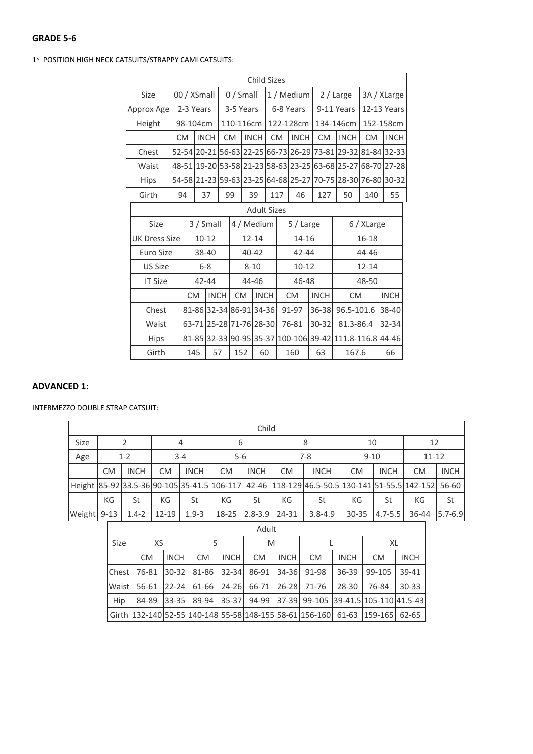1 ST POSITION HIGH NECK CATSUITS/STRAPPY CAMI CATSUITS:

| Child Sizes          |           |             |                         |           |                 |          |             |            |           |             |             |                                                   |             |                                                             |
|----------------------|-----------|-------------|-------------------------|-----------|-----------------|----------|-------------|------------|-----------|-------------|-------------|---------------------------------------------------|-------------|-------------------------------------------------------------|
| Size                 |           |             | 00 / XSmall             |           | $0/$ Small      |          |             | 1 / Medium |           |             |             | 2 / Large                                         | 3A / XLarge |                                                             |
| Approx Age           |           | 2-3 Years   |                         | 3-5 Years |                 |          |             | 6-8 Years  |           |             |             | 9-11 Years                                        | 12-13 Years |                                                             |
| Height               |           |             | 98-104cm                | 110-116cm |                 |          |             | 122-128cm  |           |             |             | 134-146cm                                         | 152-158cm   |                                                             |
|                      | <b>CM</b> | <b>INCH</b> |                         |           | <b>CM</b>       |          | <b>INCH</b> | <b>CM</b>  |           | <b>INCH</b> | <b>CM</b>   | <b>INCH</b>                                       | <b>CM</b>   | <b>INCH</b>                                                 |
| Chest                |           |             |                         |           |                 |          |             |            |           |             |             |                                                   |             | 52-54 20-21 56-63 22-25 66-73 26-29 73-81 29-32 81-84 32-33 |
| Waist                |           |             |                         |           |                 |          |             |            |           |             |             |                                                   |             | 48-51 19-20 53-58 21-23 58-63 23-25 63-68 25-27 68-70 27-28 |
| <b>Hips</b>          |           |             |                         |           |                 |          |             |            |           |             |             |                                                   |             | 54-58 21-23 59-63 23-25 64-68 25-27 70-75 28-30 76-80 30-32 |
| Girth                | 94        |             | 37                      |           | 99<br>39<br>117 |          |             |            |           | 46          | 127         | 50                                                | 140         | 55                                                          |
| <b>Adult Sizes</b>   |           |             |                         |           |                 |          |             |            |           |             |             |                                                   |             |                                                             |
| Size                 |           |             | 3 / Small               |           | 4 / Medium      |          |             |            |           | 5 / Large   |             |                                                   | 6 / XLarge  |                                                             |
| <b>UK Dress Size</b> |           |             | 10-12                   |           | $12 - 14$       |          |             |            |           | 14-16       |             |                                                   | 16-18       |                                                             |
| Euro Size            |           |             | 38-40                   |           | $40 - 42$       |          |             |            | $42 - 44$ |             |             | 44-46                                             |             |                                                             |
| <b>US Size</b>       |           |             | $6-8$                   |           |                 | $8 - 10$ |             |            | $10 - 12$ |             |             | $12 - 14$                                         |             |                                                             |
| <b>IT Size</b>       |           |             | $42 - 44$               |           |                 | 44-46    |             |            |           | 46-48       |             |                                                   | 48-50       |                                                             |
|                      |           | <b>CM</b>   | <b>INCH</b>             |           | <b>CM</b>       |          | <b>INCH</b> |            |           | <b>CM</b>   | <b>INCH</b> | <b>CM</b>                                         |             | <b>INCH</b>                                                 |
| Chest                |           |             | 81-86 32-34 86-91 34-36 |           |                 |          |             |            |           | 91-97       | 36-38       | 96.5-101.6                                        |             | 38-40                                                       |
| Waist                |           |             | 63-71 25-28 71-76 28-30 |           |                 |          |             |            |           | 76-81       | $30 - 32$   | 81.3-86.4                                         |             | 32-34                                                       |
| Hips                 |           |             |                         |           |                 |          |             |            |           |             |             | 81-85 32-33 90-95 35-37 100-106 39-42 111.8-116.8 |             | 44-46                                                       |
| Girth                |           | 145         | 57                      |           | 152             |          | 60          |            |           | 160         | 63          | 167.6                                             |             | 66                                                          |

### **ADVANCED 1:**

INTERMEZZO DOUBLE STRAP CATSUIT:

|             | Child     |             |           |             |           |             |                                       |             |                                                                                                   |             |             |             |  |
|-------------|-----------|-------------|-----------|-------------|-----------|-------------|---------------------------------------|-------------|---------------------------------------------------------------------------------------------------|-------------|-------------|-------------|--|
| Size        |           |             |           | 4           | 6         |             |                                       |             | 10                                                                                                |             | 12          |             |  |
| Age         |           | $1 - 2$     |           | $3 - 4$     | $5 - 6$   |             | $9 - 10$<br>$7-8$                     |             |                                                                                                   |             | $11 - 12$   |             |  |
|             | <b>CM</b> | <b>INCH</b> | СM        | <b>INCH</b> | <b>CM</b> | <b>INCH</b> | <b>INCH</b><br><b>CM</b><br><b>CM</b> |             | <b>INCH</b>                                                                                       | <b>CM</b>   | <b>INCH</b> |             |  |
|             |           |             |           |             |           |             |                                       |             | Height 85-92 33.5-36 90-105 35-41.5 106-117 42-46 118-129 46.5-50.5 130-141 51-55.5 142-152 56-60 |             |             |             |  |
|             | КG        | St          | КG        | St          | КG        | St          | КG                                    | St          | КG                                                                                                | St          | КG          | St          |  |
| Weight 9-13 |           | $1.4 - 2$   | $12 - 19$ | $1.9 - 3$   | 18-25     | $2.8 - 3.9$ | 24-31                                 | $3.8 - 4.9$ | $30 - 35$                                                                                         | $4.7 - 5.5$ | 36-44       | $5.7 - 6.9$ |  |

| Size         |           | XS           |                                           |              | M   |              |                                           |             | XL                                                                          |             |  |
|--------------|-----------|--------------|-------------------------------------------|--------------|-----|--------------|-------------------------------------------|-------------|-----------------------------------------------------------------------------|-------------|--|
|              | <b>CM</b> | <b>INCHI</b> | <b>CM</b>                                 | <b>INCHI</b> | CM. | <b>INCHI</b> | <b>CM</b>                                 | <b>INCH</b> | CM.                                                                         | <b>INCH</b> |  |
| <b>Chest</b> |           |              | 76-81 30-32 81-86 32-34 86-91 34-36 91-98 |              |     |              |                                           | $36 - 39$   | 99-105                                                                      | 39-41       |  |
| Waist        |           |              |                                           |              |     |              | 56-61 22-24 61-66 24-26 66-71 26-28 71-76 | 28-30       | 76-84                                                                       | $30 - 33$   |  |
| Hip          |           |              |                                           |              |     |              |                                           |             | 84-89 33-35 89-94 35-37 94-99 37-39 99-105 39-41.5 105-110 41.5-43          |             |  |
|              |           |              |                                           |              |     |              |                                           |             | Girth 132-140 52-55 140-148 55-58 148-155 58-61 156-160 61-63 159-165 62-65 |             |  |